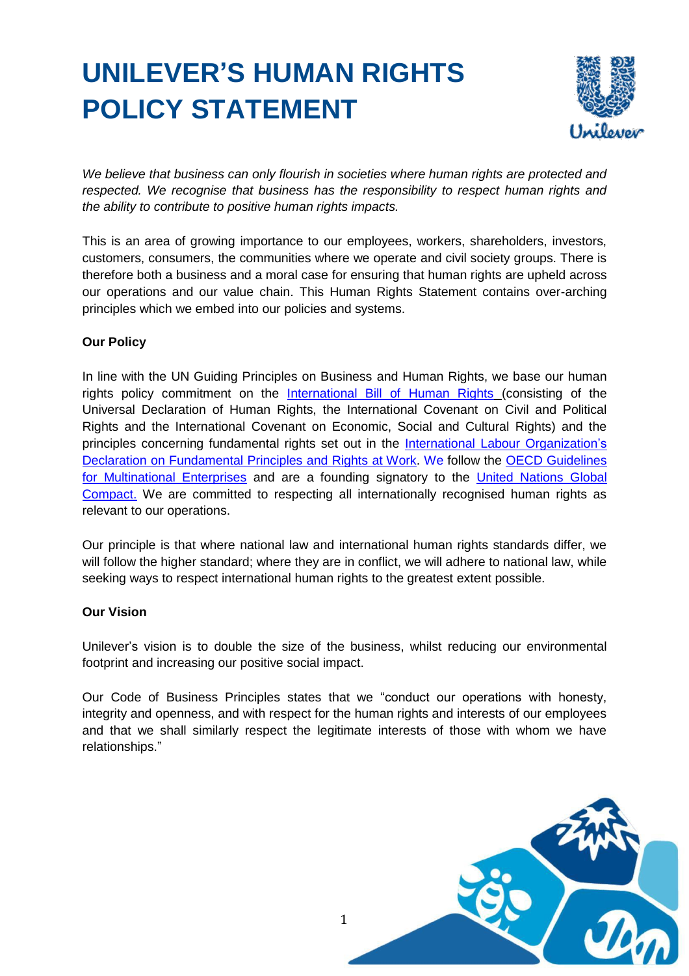# **UNILEVER'S HUMAN RIGHTS POLICY STATEMENT**



*We believe that business can only flourish in societies where human rights are protected and respected. We recognise that business has the responsibility to respect human rights and the ability to contribute to positive human rights impacts.*

This is an area of growing importance to our employees, workers, shareholders, investors, customers, consumers, the communities where we operate and civil society groups. There is therefore both a business and a moral case for ensuring that human rights are upheld across our operations and our value chain. This Human Rights Statement contains over-arching principles which we embed into our policies and systems.

## **Our Policy**

In line with the UN Guiding Principles on Business and Human Rights, we base our human rights policy commitment on the [International Bill of Human Rights](http://www.ohchr.org/Documents/Publications/FactSheet2Rev.1en.pdf) (consisting of the Universal Declaration of Human Rights, the International Covenant on Civil and Political Rights and the International Covenant on Economic, Social and Cultural Rights) and the principles concerning fundamental rights set out in the [International Labour Organization's](http://www.ilo.org/declaration/lang--en/index.htm) [Declaration on Fundamental Principles and Rights at Work. W](http://www.ilo.org/declaration/lang--en/index.htm)e follow the [OECD Guidelines](http://www.oecd.org/investment/mne/) [for Multinational Enterprises](http://www.oecd.org/investment/mne/) and are a founding signatory to the [United Nations Global](https://www.unglobalcompact.org/AboutTheGC/index.html) [Compact.](https://www.unglobalcompact.org/AboutTheGC/index.html) We are committed to respecting all internationally recognised human rights as relevant to our operations.

Our principle is that where national law and international human rights standards differ, we will follow the higher standard; where they are in conflict, we will adhere to national law, while seeking ways to respect international human rights to the greatest extent possible.

## **Our Vision**

Unilever's vision is to double the size of the business, whilst reducing our environmental footprint and increasing our positive social impact.

Our Code of Business Principles states that we "conduct our operations with honesty, integrity and openness, and with respect for the human rights and interests of our employees and that we shall similarly respect the legitimate interests of those with whom we have relationships."

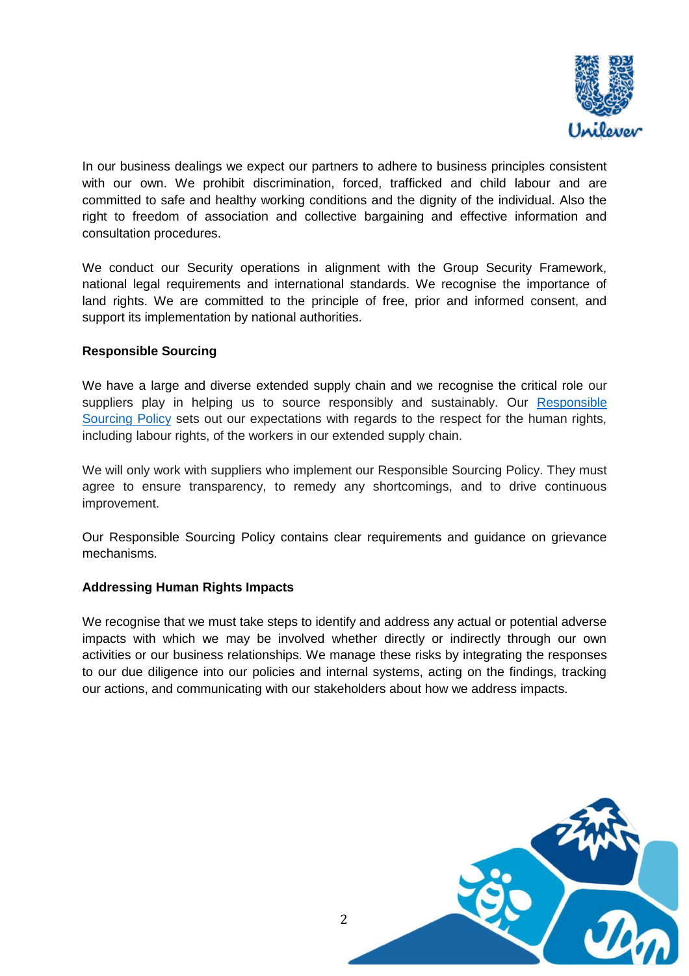

In our business dealings we expect our partners to adhere to business principles consistent with our own. We prohibit discrimination, forced, trafficked and child labour and are committed to safe and healthy working conditions and the dignity of the individual. Also the right to freedom of association and collective bargaining and effective information and consultation procedures.

We conduct our Security operations in alignment with the Group Security Framework, national legal requirements and international standards. We recognise the importance of land rights. We are committed to the principle of free, prior and informed consent, and support its implementation by national authorities.

## **Responsible Sourcing**

We have a large and diverse extended supply chain and we recognise the critical role our suppliers play in helping us to source responsibly and sustainably. Our Responsible [Sourcing](https://www.unilever.com/Images/responsible-sourcing-policy-interactive-final_tcm244-504736_en.pdf) Policy sets out our expectations with regards to the respect for the human rights, including labour rights, of the workers in our extended supply chain.

We will only work with suppliers who implement our Responsible Sourcing Policy. They must agree to ensure transparency, to remedy any shortcomings, and to drive continuous improvement.

Our Responsible Sourcing Policy contains clear requirements and guidance on grievance mechanisms.

## **Addressing Human Rights Impacts**

We recognise that we must take steps to identify and address any actual or potential adverse impacts with which we may be involved whether directly or indirectly through our own activities or our business relationships. We manage these risks by integrating the responses to our due diligence into our policies and internal systems, acting on the findings, tracking our actions, and communicating with our stakeholders about how we address impacts.

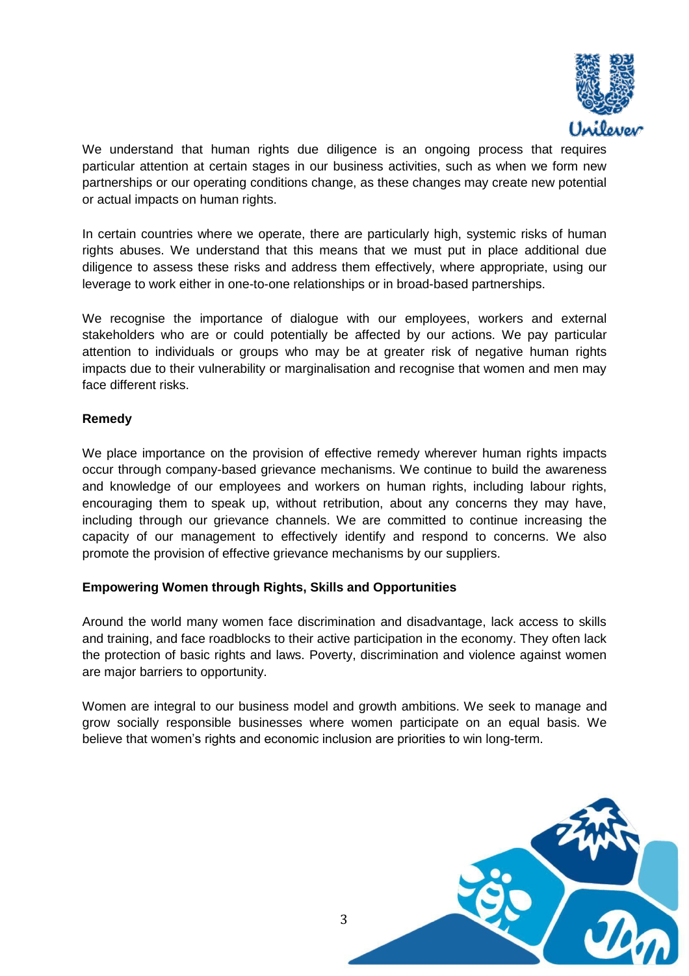

We understand that human rights due diligence is an ongoing process that requires particular attention at certain stages in our business activities, such as when we form new partnerships or our operating conditions change, as these changes may create new potential or actual impacts on human rights.

In certain countries where we operate, there are particularly high, systemic risks of human rights abuses. We understand that this means that we must put in place additional due diligence to assess these risks and address them effectively, where appropriate, using our leverage to work either in one-to-one relationships or in broad-based partnerships.

We recognise the importance of dialogue with our employees, workers and external stakeholders who are or could potentially be affected by our actions. We pay particular attention to individuals or groups who may be at greater risk of negative human rights impacts due to their vulnerability or marginalisation and recognise that women and men may face different risks.

## **Remedy**

We place importance on the provision of effective remedy wherever human rights impacts occur through company-based grievance mechanisms. We continue to build the awareness and knowledge of our employees and workers on human rights, including labour rights, encouraging them to speak up, without retribution, about any concerns they may have, including through our grievance channels. We are committed to continue increasing the capacity of our management to effectively identify and respond to concerns. We also promote the provision of effective grievance mechanisms by our suppliers.

## **Empowering Women through Rights, Skills and Opportunities**

Around the world many women face discrimination and disadvantage, lack access to skills and training, and face roadblocks to their active participation in the economy. They often lack the protection of basic rights and laws. Poverty, discrimination and violence against women are major barriers to opportunity.

Women are integral to our business model and growth ambitions. We seek to manage and grow socially responsible businesses where women participate on an equal basis. We believe that women's rights and economic inclusion are priorities to win long-term.